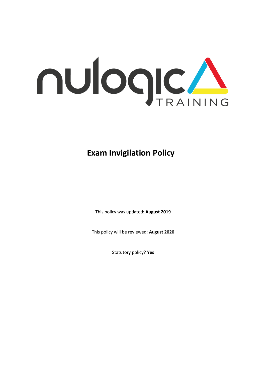

## **Exam Invigilation Policy**

This policy was updated: **August 2019**

This policy will be reviewed: **August 2020**

Statutory policy? **Yes**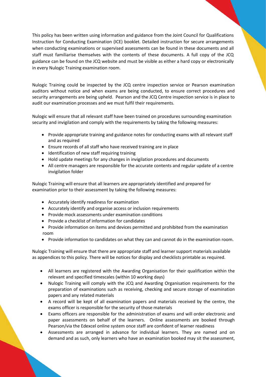This policy has been written using information and guidance from the Joint Council for Qualifications Instruction for Conducting Examination (ICE) booklet. Detailed instruction for secure arrangements when conducting examinations or supervised assessments can be found in these documents and all staff must familiarise themselves with the contents of these documents. A full copy of the JCQ guidance can be found on the JCQ website and must be visible as either a hard copy or electronically in every Nulogic Training examination room.

Nulogic Training could be inspected by the JCQ centre inspection service or Pearson examination auditors without notice and when exams are being conducted, to ensure correct procedures and security arrangements are being upheld. Pearson and the JCQ Centre inspection service is in place to audit our examination processes and we must fulfil their requirements.

Nulogic will ensure that all relevant staff have been trained on procedures surrounding examination security and invigilation and comply with the requirements by taking the following measures:

- Provide appropriate training and guidance notes for conducting exams with all relevant staff and as required
- Ensure records of all staff who have received training are in place
- Identification of new staff requiring training
- Hold update meetings for any changes in invigilation procedures and documents
- All centre managers are responsible for the accurate contents and regular update of a centre invigilation folder

Nulogic Training will ensure that all learners are appropriately identified and prepared for examination prior to their assessment by taking the following measures:

- Accurately identify readiness for examination
- Accurately identify and organise access or inclusion requirements
- Provide mock assessments under examination conditions
- Provide a checklist of information for candidates
- Provide information on items and devices permitted and prohibited from the examination room
- Provide information to candidates on what they can and cannot do in the examination room.

Nulogic Training will ensure that there are appropriate staff and learner support materials available as appendices to this policy. There will be notices for display and checklists printable as required.

- All learners are registered with the Awarding Organisation for their qualification within the relevant and specified timescales (within 10 working days)
- Nulogic Training will comply with the JCQ and Awarding Organisation requirements for the preparation of examinations such as receiving, checking and secure storage of examination papers and any related materials
- A record will be kept of all examination papers and materials received by the centre, the exams officer is responsible for the security of those materials
- Exams officers are responsible for the administration of exams and will order electronic and paper assessments on behalf of the learners. Online assessments are booked through Pearson/via the Edexcel online system once staff are confident of learner readiness
- Assessments are arranged in advance for individual learners. They are named and on demand and as such, only learners who have an examination booked may sit the assessment,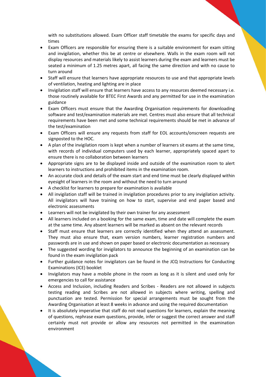with no substitutions allowed. Exam Officer staff timetable the exams for specific days and times

- Exam Officers are responsible for ensuring there is a suitable environment for exam sitting and invigilation, whether this be at centre or elsewhere. Walls in the exam room will not display resources and materials likely to assist learners during the exam and learners must be seated a minimum of 1.25 metres apart, all facing the same direction and with no cause to turn around
- Staff will ensure that learners have appropriate resources to use and that appropriate levels of ventilation, heating and lighting are in place
- Invigilation staff will ensure that learners have access to any resources deemed necessary i.e. those routinely available for BTEC First Awards and any permitted for use in the examination guidance
- Exam Officers must ensure that the Awarding Organisation requirements for downloading software and test/examination materials are met. Centres must also ensure that all technical requirements have been met and some technical requirements should be met in advance of the test/examination
- Exam Officers will ensure any requests from staff for EOL accounts/onscreen requests are signposted to the HOC.
- A plan of the invigilation room is kept when a number of learners sit exams at the same time, with records of individual computers used by each learner, appropriately spaced apart to ensure there is no collaboration between learners
- Appropriate signs are to be displayed inside and outside of the examination room to alert learners to instructions and prohibited items in the examination room.
- An accurate clock and details of the exam start and end time must be clearly displayed within eyesight of learners in the room and without the need to turn around
- A checklist for learners to prepare for examination is available
- All invigilation staff will be trained in invigilation procedures prior to any invigilation activity. All invigilators will have training on how to start, supervise and end paper based and electronic assessments
- Learners will not be invigilated by their own trainer for any assessment
- All learners included on a booking for the same exam, time and date will complete the exam at the same time. Any absent learners will be marked as absent on the relevant records
- Staff must ensure that learners are correctly identified when they attend an assessment. They must also ensure that, exam version numbers, learner registration numbers and passwords are in use and shown on paper based or electronic documentation as necessary
- The suggested wording for invigilators to announce the beginning of an examination can be found in the exam invigilation pack
- Further guidance notes for invigilators can be found in the JCQ Instructions for Conducting Examinations (ICE) booklet
- Invigilators may have a mobile phone in the room as long as it is silent and used only for emergencies to call for assistance
- Access and Inclusion, including Readers and Scribes Readers are not allowed in subjects testing reading and Scribes are not allowed in subjects where writing, spelling and punctuation are tested. Permission for special arrangements must be sought from the Awarding Organisation at least 8 weeks in advance and using the required documentation
- It is absolutely imperative that staff do not read questions for learners, explain the meaning of questions, rephrase exam questions, provide, infer or suggest the correct answer and staff certainly must not provide or allow any resources not permitted in the examination environment